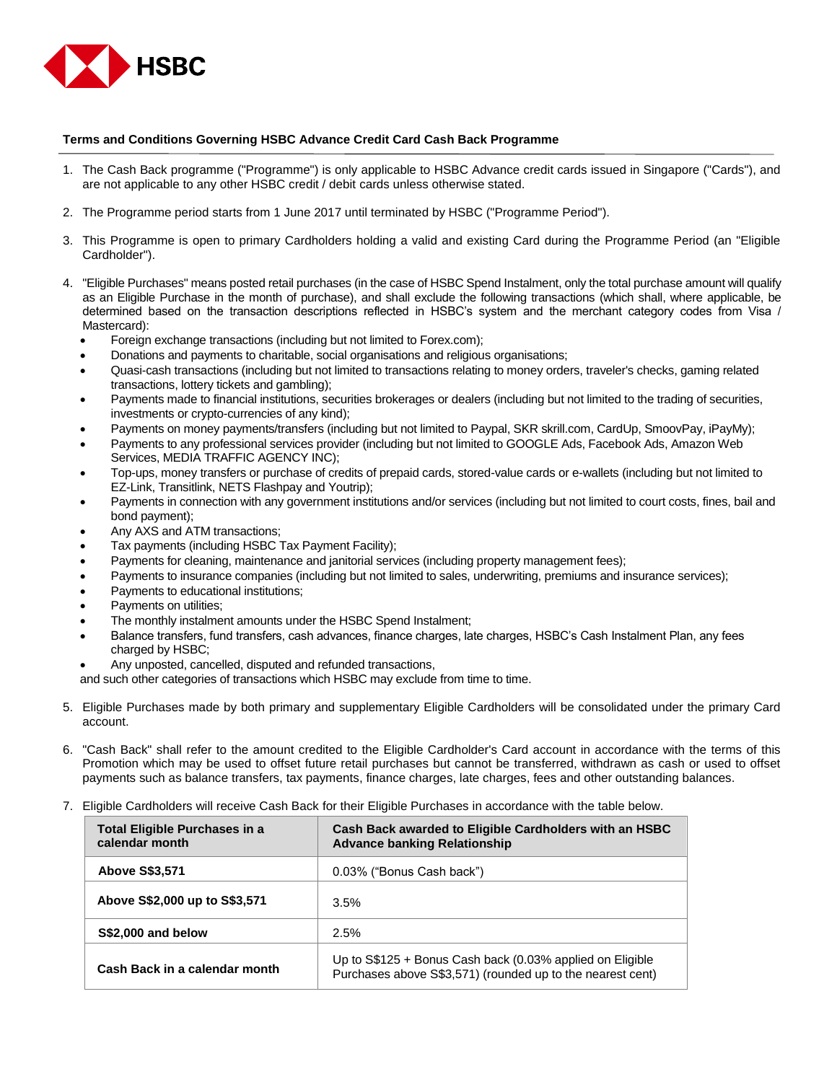

## **Terms and Conditions Governing HSBC Advance Credit Card Cash Back Programme**

- 1. The Cash Back programme ("Programme") is only applicable to HSBC Advance credit cards issued in Singapore ("Cards"), and are not applicable to any other HSBC credit / debit cards unless otherwise stated.
- 2. The Programme period starts from 1 June 2017 until terminated by HSBC ("Programme Period").
- 3. This Programme is open to primary Cardholders holding a valid and existing Card during the Programme Period (an "Eligible Cardholder").
- 4. "Eligible Purchases" means posted retail purchases (in the case of HSBC Spend Instalment, only the total purchase amount will qualify as an Eligible Purchase in the month of purchase), and shall exclude the following transactions (which shall, where applicable, be determined based on the transaction descriptions reflected in HSBC's system and the merchant category codes from Visa / Mastercard):
	- Foreign exchange transactions (including but not limited to Forex.com);
	- Donations and payments to charitable, social organisations and religious organisations;
	- Quasi-cash transactions (including but not limited to transactions relating to money orders, traveler's checks, gaming related transactions, lottery tickets and gambling);
	- Payments made to financial institutions, securities brokerages or dealers (including but not limited to the trading of securities, investments or crypto-currencies of any kind);
	- Payments on money payments/transfers (including but not limited to Paypal, SKR skrill.com, CardUp, SmoovPay, iPayMy);
	- Payments to any professional services provider (including but not limited to GOOGLE Ads, Facebook Ads, Amazon Web Services, MEDIA TRAFFIC AGENCY INC);
	- Top-ups, money transfers or purchase of credits of prepaid cards, stored-value cards or e-wallets (including but not limited to EZ-Link, Transitlink, NETS Flashpay and Youtrip);
	- Payments in connection with any government institutions and/or services (including but not limited to court costs, fines, bail and bond payment);
	- Any AXS and ATM transactions;
	- Tax payments (including HSBC Tax Payment Facility);
	- Payments for cleaning, maintenance and janitorial services (including property management fees);
	- Payments to insurance companies (including but not limited to sales, underwriting, premiums and insurance services);
	- Payments to educational institutions;
	- Payments on utilities;
	- The monthly instalment amounts under the HSBC Spend Instalment;
	- Balance transfers, fund transfers, cash advances, finance charges, late charges, HSBC's Cash Instalment Plan, any fees charged by HSBC;
	- Any unposted, cancelled, disputed and refunded transactions,

and such other categories of transactions which HSBC may exclude from time to time.

- 5. Eligible Purchases made by both primary and supplementary Eligible Cardholders will be consolidated under the primary Card account.
- 6. "Cash Back" shall refer to the amount credited to the Eligible Cardholder's Card account in accordance with the terms of this Promotion which may be used to offset future retail purchases but cannot be transferred, withdrawn as cash or used to offset payments such as balance transfers, tax payments, finance charges, late charges, fees and other outstanding balances.
- 7. Eligible Cardholders will receive Cash Back for their Eligible Purchases in accordance with the table below.

| Total Eligible Purchases in a<br>calendar month | Cash Back awarded to Eligible Cardholders with an HSBC<br><b>Advance banking Relationship</b>                           |
|-------------------------------------------------|-------------------------------------------------------------------------------------------------------------------------|
| <b>Above S\$3,571</b>                           | 0.03% ("Bonus Cash back")                                                                                               |
| Above S\$2,000 up to S\$3,571                   | 3.5%                                                                                                                    |
| S\$2,000 and below                              | 2.5%                                                                                                                    |
| Cash Back in a calendar month                   | Up to S\$125 + Bonus Cash back (0.03% applied on Eligible<br>Purchases above S\$3,571) (rounded up to the nearest cent) |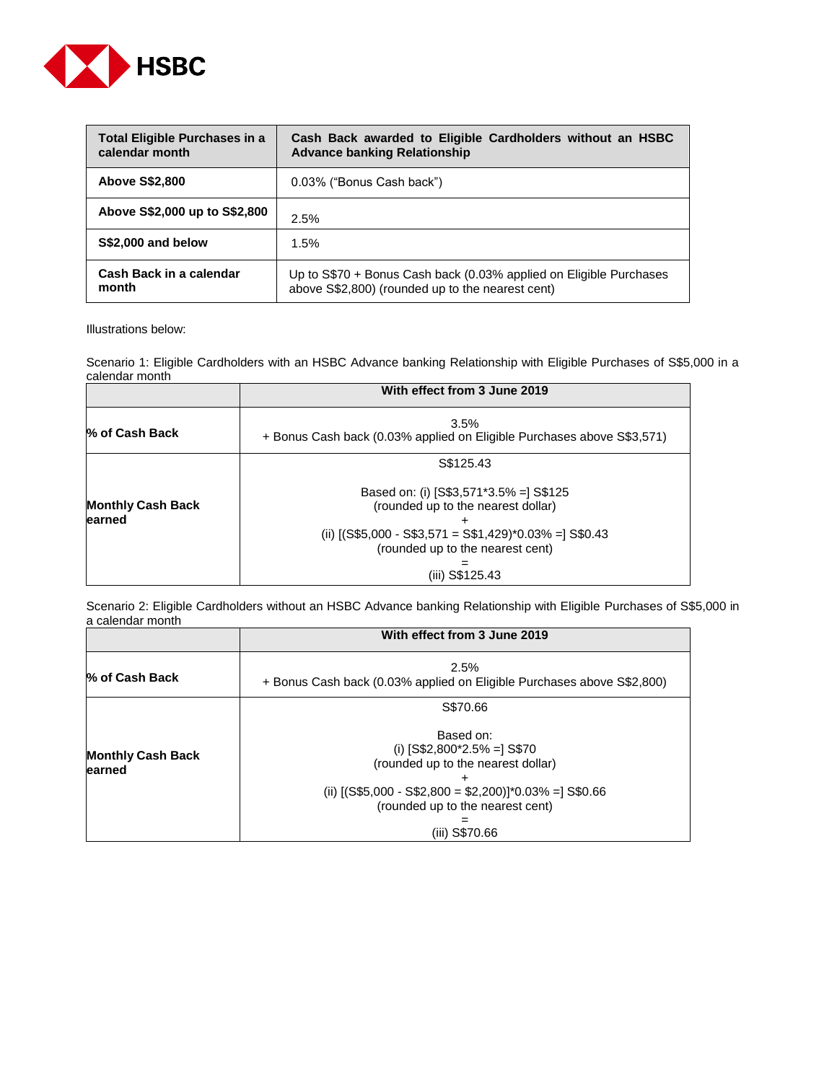

| Total Eligible Purchases in a<br>calendar month | Cash Back awarded to Eligible Cardholders without an HSBC<br><b>Advance banking Relationship</b>                       |
|-------------------------------------------------|------------------------------------------------------------------------------------------------------------------------|
| <b>Above S\$2,800</b>                           | 0.03% ("Bonus Cash back")                                                                                              |
| Above S\$2,000 up to S\$2,800                   | 2.5%                                                                                                                   |
| S\$2,000 and below                              | 1.5%                                                                                                                   |
| Cash Back in a calendar<br>month                | Up to S\$70 + Bonus Cash back (0.03% applied on Eligible Purchases<br>above S\$2,800) (rounded up to the nearest cent) |

Illustrations below:

Scenario 1: Eligible Cardholders with an HSBC Advance banking Relationship with Eligible Purchases of S\$5,000 in a calendar month

|                                    | With effect from 3 June 2019                                                                                                                                                                  |
|------------------------------------|-----------------------------------------------------------------------------------------------------------------------------------------------------------------------------------------------|
| % of Cash Back                     | $3.5\%$<br>+ Bonus Cash back (0.03% applied on Eligible Purchases above S\$3,571)                                                                                                             |
|                                    | S\$125.43                                                                                                                                                                                     |
| <b>Monthly Cash Back</b><br>earned | Based on: (i) $[S$3,571*3.5% =] S$125$<br>(rounded up to the nearest dollar)<br>(ii) $[(S$5,000 - S$3,571 = S$1,429)*0.03% = ] S$0.43$<br>(rounded up to the nearest cent)<br>(iii) S\$125.43 |

Scenario 2: Eligible Cardholders without an HSBC Advance banking Relationship with Eligible Purchases of S\$5,000 in a calendar month

|                                     | With effect from 3 June 2019                                                                                                                                                                      |
|-------------------------------------|---------------------------------------------------------------------------------------------------------------------------------------------------------------------------------------------------|
| % of Cash Back                      | 2.5%<br>+ Bonus Cash back (0.03% applied on Eligible Purchases above S\$2,800)                                                                                                                    |
|                                     | S\$70.66                                                                                                                                                                                          |
| <b>Monthly Cash Back</b><br>learned | Based on:<br>(i) $[S$2,800^*2.5% =] S$70$<br>(rounded up to the nearest dollar)<br>(ii) $[(S$5,000 - S$2,800 = $2,200)]*0.03% = ]S$0.66$<br>(rounded up to the nearest cent)<br>S\$70.66<br>(111) |